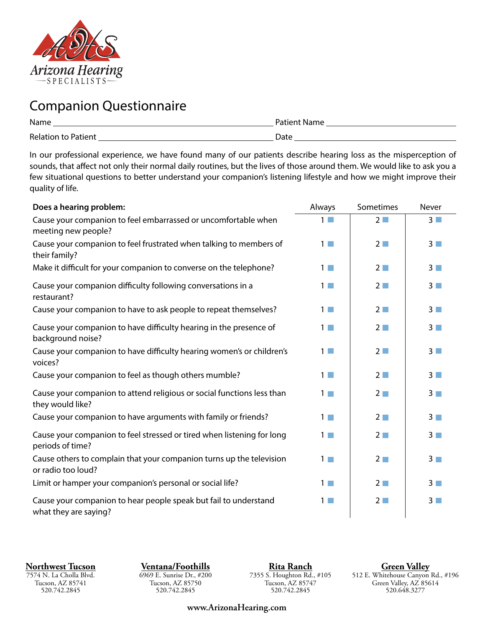

## Companion Questionnaire

| Name                       | Patient Name |
|----------------------------|--------------|
| <b>Relation to Patient</b> | Date         |

In our professional experience, we have found many of our patients describe hearing loss as the misperception of sounds, that affect not only their normal daily routines, but the lives of those around them. We would like to ask you a few situational questions to better understand your companion's listening lifestyle and how we might improve their quality of life.

| Does a hearing problem:                                                                    | Always   | Sometimes       | <b>Never</b>   |
|--------------------------------------------------------------------------------------------|----------|-----------------|----------------|
| Cause your companion to feel embarrassed or uncomfortable when<br>meeting new people?      | $1 \Box$ | $2\square$      | $3\Box$        |
| Cause your companion to feel frustrated when talking to members of<br>their family?        | $1\Box$  | $2\Box$         | $3\Box$        |
| Make it difficult for your companion to converse on the telephone?                         | $1\Box$  | $2\Box$         | $3\Box$        |
| Cause your companion difficulty following conversations in a<br>restaurant?                | $1\Box$  | $2\Box$         | $3\Box$        |
| Cause your companion to have to ask people to repeat themselves?                           | $1 \Box$ | $2\Box$         | 3 <sup>2</sup> |
| Cause your companion to have difficulty hearing in the presence of<br>background noise?    | $1\Box$  | $2\Box$         | 3 <sup>1</sup> |
| Cause your companion to have difficulty hearing women's or children's<br>voices?           | $1\Box$  | $2\Box$         | 3 <sup>1</sup> |
| Cause your companion to feel as though others mumble?                                      | $1 \Box$ | $2\square$      | $3\Box$        |
| Cause your companion to attend religious or social functions less than<br>they would like? | $1\Box$  | $2\Box$         | 3 <sub>1</sub> |
| Cause your companion to have arguments with family or friends?                             | $1\Box$  | $2\blacksquare$ | 3 <sup>2</sup> |
| Cause your companion to feel stressed or tired when listening for long<br>periods of time? | $1 \Box$ | $2\Box$         | $3\Box$        |
| Cause others to complain that your companion turns up the television<br>or radio too loud? | $1\Box$  | $2\blacksquare$ | $3\Box$        |
| Limit or hamper your companion's personal or social life?                                  | $1 \Box$ | $2\Box$         | 3 <sub>1</sub> |
| Cause your companion to hear people speak but fail to understand<br>what they are saying?  | $1\Box$  | $2\Box$         | $3\Box$        |

**Northwest Tucson**

7574 N. La Cholla Blvd. Tucson, AZ 85741 520.742.2845

**Ventana/Foothills** 6969 E. Sunrise Dr., #200 Tucson, AZ 85750 520.742.2845

**Rita Ranch** 7355 S. Houghton Rd., #105 Tucson, AZ 85747 520.742.2845

**Green Valley** 512 E. Whitehouse Canyon Rd., #196 Green Valley, AZ 85614 520.648.3277

**www.ArizonaHearing.com**